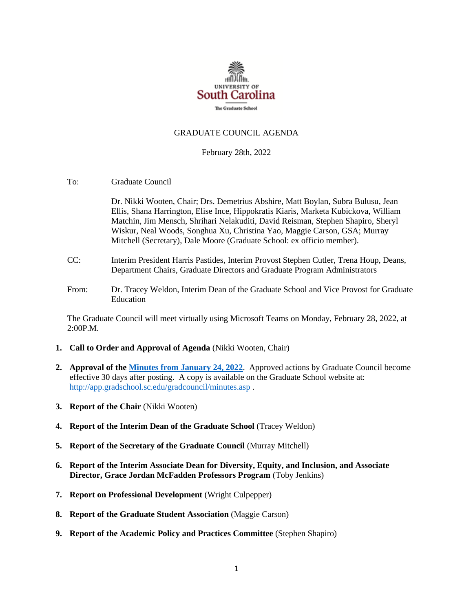

## GRADUATE COUNCIL AGENDA

### February 28th, 2022

To: Graduate Council

Dr. Nikki Wooten, Chair; Drs. Demetrius Abshire, Matt Boylan, Subra Bulusu, Jean Ellis, Shana Harrington, Elise Ince, Hippokratis Kiaris, Marketa Kubickova, William Matchin, Jim Mensch, Shrihari Nelakuditi, David Reisman, Stephen Shapiro, Sheryl Wiskur, Neal Woods, Songhua Xu, Christina Yao, Maggie Carson, GSA; Murray Mitchell (Secretary), Dale Moore (Graduate School: ex officio member).

- CC: Interim President Harris Pastides, Interim Provost Stephen Cutler, Trena Houp, Deans, Department Chairs, Graduate Directors and Graduate Program Administrators
- From: Dr. Tracey Weldon, Interim Dean of the Graduate School and Vice Provost for Graduate Education

The Graduate Council will meet virtually using Microsoft Teams on Monday, February 28, 2022, at 2:00P.M.

- **1. Call to Order and Approval of Agenda** (Nikki Wooten, Chair)
- **2. Approval of th[e Minutes from January 24, 2022](GCMINUTES1.24.22%20MM.pdf)**. Approved actions by Graduate Council become effective 30 days after posting. A copy is available on the Graduate School website at: <http://app.gradschool.sc.edu/gradcouncil/minutes.asp> .
- **3. Report of the Chair** (Nikki Wooten)
- **4. Report of the Interim Dean of the Graduate School** (Tracey Weldon)
- **5. Report of the Secretary of the Graduate Council** (Murray Mitchell)
- **6. Report of the Interim Associate Dean for Diversity, Equity, and Inclusion, and Associate Director, Grace Jordan McFadden Professors Program** (Toby Jenkins)
- **7. Report on Professional Development** (Wright Culpepper)
- **8. Report of the Graduate Student Association** (Maggie Carson)
- **9. Report of the Academic Policy and Practices Committee** (Stephen Shapiro)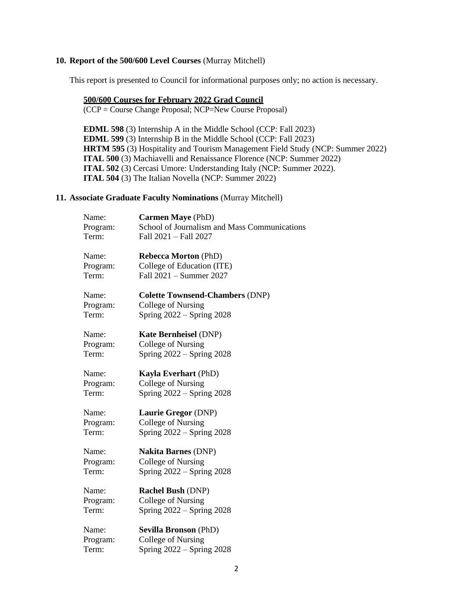### **10. Report of the 500/600 Level Courses** (Murray Mitchell)

This report is presented to Council for informational purposes only; no action is necessary.

### **500/600 Courses for February 2022 Grad Council**

(CCP = Course Change Proposal; NCP=New Course Proposal)

**EDML 598** (3) Internship A in the Middle School (CCP: Fall 2023) **EDML 599** (3) Internship B in the Middle School (CCP: Fall 2023) **HRTM 595** (3) Hospitality and Tourism Management Field Study (NCP: Summer 2022) **ITAL 500** (3) Machiavelli and Renaissance Florence (NCP: Summer 2022) **ITAL 502** (3) Cercasi Umore: Understanding Italy (NCP: Summer 2022). **ITAL 504** (3) The Italian Novella (NCP: Summer 2022)

#### **11. Associate Graduate Faculty Nominations** (Murray Mitchell)

| Name:<br>Program: | <b>Carmen Maye</b> (PhD)<br>School of Journalism and Mass Communications |
|-------------------|--------------------------------------------------------------------------|
| Term:             | Fall 2021 - Fall 2027                                                    |
| Name:             | <b>Rebecca Morton (PhD)</b>                                              |
| Program:          | College of Education (ITE)                                               |
| Term:             | Fall 2021 - Summer 2027                                                  |
| Name:             | <b>Colette Townsend-Chambers (DNP)</b>                                   |
| Program:          | College of Nursing                                                       |
| Term:             | Spring $2022 -$ Spring 2028                                              |
| Name:             | <b>Kate Bernheisel (DNP)</b>                                             |
| Program:          | College of Nursing                                                       |
| Term:             | Spring $2022 -$ Spring 2028                                              |
| Name:             | <b>Kayla Everhart (PhD)</b>                                              |
| Program:          | College of Nursing                                                       |
| Term:             | Spring $2022 -$ Spring $2028$                                            |
| Name:             | Laurie Gregor (DNP)                                                      |
| Program:          | College of Nursing                                                       |
| Term:             | Spring $2022 -$ Spring $2028$                                            |
| Name:             | <b>Nakita Barnes (DNP)</b>                                               |
| Program:          | College of Nursing                                                       |
| Term:             | Spring $2022 -$ Spring 2028                                              |
| Name:             | <b>Rachel Bush (DNP)</b>                                                 |
| Program:          | College of Nursing                                                       |
| Term:             | Spring $2022 -$ Spring $2028$                                            |
| Name:             | <b>Sevilla Bronson (PhD)</b>                                             |
| Program:          | College of Nursing                                                       |
| Term:             | Spring $2022 -$ Spring $2028$                                            |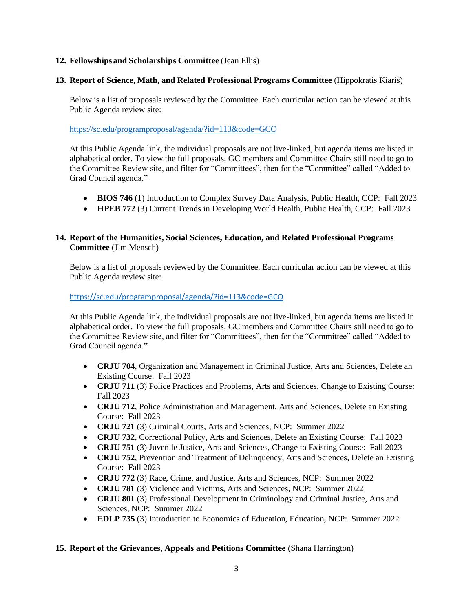# **12. Fellowships and Scholarships Committee** (Jean Ellis)

# **13. Report of Science, Math, and Related Professional Programs Committee** (Hippokratis Kiaris)

Below is a list of proposals reviewed by the Committee. Each curricular action can be viewed at this Public Agenda review site:

<https://sc.edu/programproposal/agenda/?id=113&code=GCO>

At this Public Agenda link, the individual proposals are not live-linked, but agenda items are listed in alphabetical order. To view the full proposals, GC members and Committee Chairs still need to go to the Committee Review site, and filter for "Committees", then for the "Committee" called "Added to Grad Council agenda."

- **BIOS 746** (1) Introduction to Complex Survey Data Analysis, Public Health, CCP: Fall 2023
- **HPEB 772** (3) Current Trends in Developing World Health, Public Health, CCP: Fall 2023

# **14. Report of the Humanities, Social Sciences, Education, and Related Professional Programs Committee** (Jim Mensch)

Below is a list of proposals reviewed by the Committee. Each curricular action can be viewed at this Public Agenda review site:

## <https://sc.edu/programproposal/agenda/?id=113&code=GCO>

At this Public Agenda link, the individual proposals are not live-linked, but agenda items are listed in alphabetical order. To view the full proposals, GC members and Committee Chairs still need to go to the Committee Review site, and filter for "Committees", then for the "Committee" called "Added to Grad Council agenda."

- **CRJU 704**, Organization and Management in Criminal Justice, Arts and Sciences, Delete an Existing Course: Fall 2023
- **CRJU 711** (3) Police Practices and Problems, Arts and Sciences, Change to Existing Course: Fall 2023
- **CRJU 712**, Police Administration and Management, Arts and Sciences, Delete an Existing Course: Fall 2023
- **CRJU 721** (3) Criminal Courts, Arts and Sciences, NCP: Summer 2022
- **CRJU 732**, Correctional Policy, Arts and Sciences, Delete an Existing Course: Fall 2023
- **CRJU 751** (3) Juvenile Justice, Arts and Sciences, Change to Existing Course: Fall 2023
- **CRJU 752**, Prevention and Treatment of Delinquency, Arts and Sciences, Delete an Existing Course: Fall 2023
- **CRJU 772** (3) Race, Crime, and Justice, Arts and Sciences, NCP: Summer 2022
- **CRJU 781** (3) Violence and Victims, Arts and Sciences, NCP: Summer 2022
- **CRJU 801** (3) Professional Development in Criminology and Criminal Justice, Arts and Sciences, NCP: Summer 2022
- **EDLP 735** (3) Introduction to Economics of Education, Education, NCP: Summer 2022

## **15. Report of the Grievances, Appeals and Petitions Committee** (Shana Harrington)